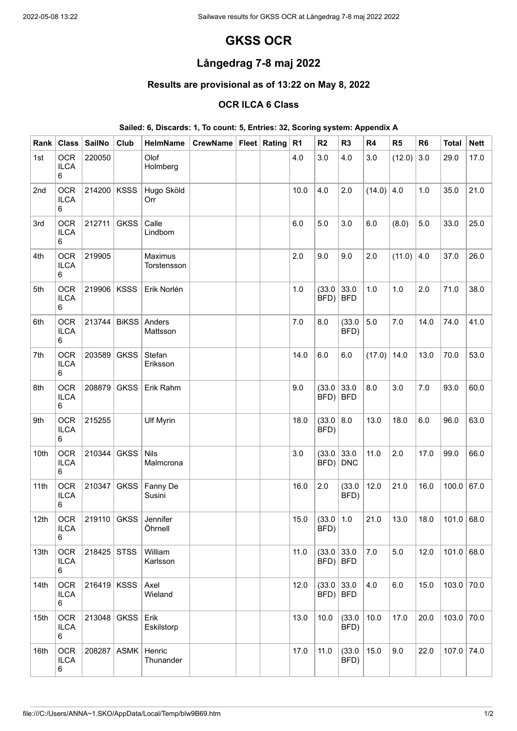# **GKSS OCR**

## **Långedrag 7-8 maj 2022**

### **Results are provisional as of 13:22 on May 8, 2022**

#### **OCR ILCA 6 Class**

#### **Sailed: 6, Discards: 1, To count: 5, Entries: 32, Scoring system: Appendix A**

| Rank             | <b>Class</b>                   | <b>SailNo</b> | Club         | HelmName                 | CrewName   Fleet | Rating | R <sub>1</sub> | R <sub>2</sub>                      | R <sub>3</sub>     | R <sub>4</sub> | R <sub>5</sub> | R <sub>6</sub> | <b>Total</b> | <b>Nett</b> |
|------------------|--------------------------------|---------------|--------------|--------------------------|------------------|--------|----------------|-------------------------------------|--------------------|----------------|----------------|----------------|--------------|-------------|
| 1st              | <b>OCR</b><br><b>ILCA</b><br>6 | 220050        |              | Olof<br>Holmberg         |                  |        | 4.0            | 3.0                                 | 4.0                | 3.0            | (12.0)         | 3.0            | 29.0         | 17.0        |
| 2nd              | <b>OCR</b><br><b>ILCA</b><br>6 | 214200        | <b>KSSS</b>  | Hugo Sköld<br>Orr        |                  |        | 10.0           | 4.0                                 | 2.0                | (14.0)         | 4.0            | 1.0            | 35.0         | 21.0        |
| 3rd              | <b>OCR</b><br><b>ILCA</b><br>6 | 212711        | <b>GKSS</b>  | Calle<br>Lindbom         |                  |        | 6.0            | 5.0                                 | 3.0                | 6.0            | (8.0)          | $5.0$          | 33.0         | 25.0        |
| 4th              | <b>OCR</b><br><b>ILCA</b><br>6 | 219905        |              | Maximus<br>Torstensson   |                  |        | 2.0            | 9.0                                 | 9.0                | 2.0            | (11.0)         | 4.0            | 37.0         | 26.0        |
| 5th              | <b>OCR</b><br><b>ILCA</b><br>6 | 219906        | <b>KSSS</b>  | Erik Norlén              |                  |        | 1.0            | (33.0)<br>BFD)                      | 33.0<br><b>BFD</b> | 1.0            | 1.0            | 2.0            | 71.0         | 38.0        |
| 6th              | <b>OCR</b><br><b>ILCA</b><br>6 | 213744        | <b>BiKSS</b> | Anders<br>Mattsson       |                  |        | 7.0            | 8.0                                 | (33.0)<br>BFD)     | 5.0            | 7.0            | 14.0           | 74.0         | 41.0        |
| 7th              | <b>OCR</b><br><b>ILCA</b><br>6 | 203589        | <b>GKSS</b>  | Stefan<br>Eriksson       |                  |        | 14.0           | 6.0                                 | 6.0                | (17.0)         | 14.0           | 13.0           | 70.0         | 53.0        |
| 8th              | <b>OCR</b><br><b>ILCA</b><br>6 | 208879        | <b>GKSS</b>  | Erik Rahm                |                  |        | 9.0            | (33.0)<br>BFD)                      | 33.0<br><b>BFD</b> | 8.0            | 3.0            | $7.0$          | 93.0         | 60.0        |
| 9th              | <b>OCR</b><br><b>ILCA</b><br>6 | 215255        |              | <b>Ulf Myrin</b>         |                  |        | 18.0           | (33.0   8.0)<br>BFD)                |                    | 13.0           | 18.0           | 6.0            | 96.0         | 63.0        |
| 10th             | <b>OCR</b><br><b>ILCA</b><br>6 | 210344        | <b>GKSS</b>  | <b>Nils</b><br>Malmcrona |                  |        | 3.0            | (33.0)<br>BFD)                      | 33.0<br><b>DNC</b> | 11.0           | 2.0            | 17.0           | 99.0         | 66.0        |
| 11th             | <b>OCR</b><br><b>ILCA</b><br>6 | 210347        | <b>GKSS</b>  | Fanny De<br>Susini       |                  |        | 16.0           | 2.0                                 | (33.0)<br>BFD)     | 12.0           | 21.0           | 16.0           | 100.0        | 67.0        |
| 12 <sub>th</sub> | <b>OCR</b><br><b>ILCA</b><br>6 | 219110 GKSS   |              | Jennifer<br>Öhrnell      |                  |        | 15.0           | (33.0)<br>BFD)                      | 1.0                | 21.0           | 13.0           | 18.0           | $101.0$ 68.0 |             |
| 13th             | <b>OCR</b><br><b>ILCA</b><br>6 | 218425        | <b>STSS</b>  | William<br>Karlsson      |                  |        | 11.0           | $(33.0 \mid 33.0)$<br>$BFD$   $BFD$ |                    | 7.0            | 5.0            | 12.0           | 101.0        | 68.0        |
| 14th             | <b>OCR</b><br><b>ILCA</b><br>6 | 216419        | <b>KSSS</b>  | Axel<br>Wieland          |                  |        | 12.0           | (33.0)<br>$BFD$   $BFD$             | 33.0               | 4.0            | 6.0            | 15.0           | 103.0        | 70.0        |
| 15th             | <b>OCR</b><br><b>ILCA</b><br>6 | 213048 GKSS   |              | Erik<br>Eskilstorp       |                  |        | 13.0           | 10.0                                | (33.0)<br>BFD)     | 10.0           | 17.0           | 20.0           | 103.0        | 70.0        |
| 16th             | <b>OCR</b><br><b>ILCA</b><br>6 | 208287        | <b>ASMK</b>  | Henric<br>Thunander      |                  |        | 17.0           | 11.0                                | (33.0)<br>BFD)     | 15.0           | 9.0            | 22.0           | 107.0        | 74.0        |

 $\overline{\phantom{a}}$ 

 $\mathbb{R}$ 

 $\overline{\phantom{a}}$ 

 $\overline{\phantom{a}}$ 

 $\overline{\phantom{a}}$